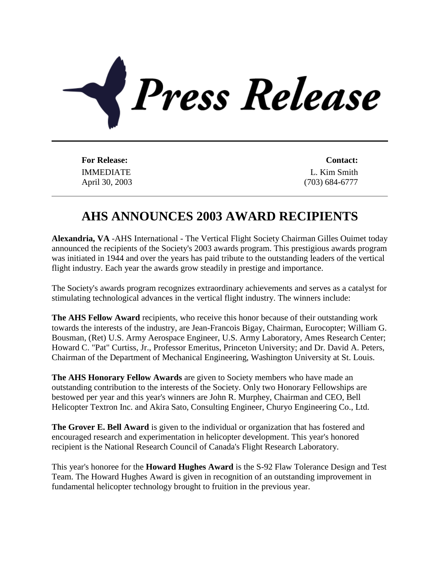

IMMEDIATE April 30, 2003

**For Release: Contact:** L. Kim Smith (703) 684-6777

## **AHS ANNOUNCES 2003 AWARD RECIPIENTS**

**Alexandria, VA** -AHS International - The Vertical Flight Society Chairman Gilles Ouimet today announced the recipients of the Society's 2003 awards program. This prestigious awards program was initiated in 1944 and over the years has paid tribute to the outstanding leaders of the vertical flight industry. Each year the awards grow steadily in prestige and importance.

The Society's awards program recognizes extraordinary achievements and serves as a catalyst for stimulating technological advances in the vertical flight industry. The winners include:

**The AHS Fellow Award** recipients, who receive this honor because of their outstanding work towards the interests of the industry, are Jean-Francois Bigay, Chairman, Eurocopter; William G. Bousman, (Ret) U.S. Army Aerospace Engineer, U.S. Army Laboratory, Ames Research Center; Howard C. "Pat" Curtiss, Jr., Professor Emeritus, Princeton University; and Dr. David A. Peters, Chairman of the Department of Mechanical Engineering, Washington University at St. Louis.

**The AHS Honorary Fellow Awards** are given to Society members who have made an outstanding contribution to the interests of the Society. Only two Honorary Fellowships are bestowed per year and this year's winners are John R. Murphey, Chairman and CEO, Bell Helicopter Textron Inc. and Akira Sato, Consulting Engineer, Churyo Engineering Co., Ltd.

**The Grover E. Bell Award** is given to the individual or organization that has fostered and encouraged research and experimentation in helicopter development. This year's honored recipient is the National Research Council of Canada's Flight Research Laboratory.

This year's honoree for the **Howard Hughes Award** is the S-92 Flaw Tolerance Design and Test Team. The Howard Hughes Award is given in recognition of an outstanding improvement in fundamental helicopter technology brought to fruition in the previous year.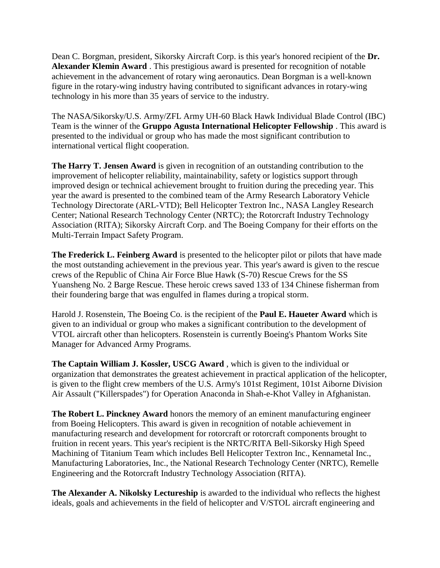Dean C. Borgman, president, Sikorsky Aircraft Corp. is this year's honored recipient of the **Dr. Alexander Klemin Award** . This prestigious award is presented for recognition of notable achievement in the advancement of rotary wing aeronautics. Dean Borgman is a well-known figure in the rotary-wing industry having contributed to significant advances in rotary-wing technology in his more than 35 years of service to the industry.

The NASA/Sikorsky/U.S. Army/ZFL Army UH-60 Black Hawk Individual Blade Control (IBC) Team is the winner of the **Gruppo Agusta International Helicopter Fellowship** . This award is presented to the individual or group who has made the most significant contribution to international vertical flight cooperation.

**The Harry T. Jensen Award** is given in recognition of an outstanding contribution to the improvement of helicopter reliability, maintainability, safety or logistics support through improved design or technical achievement brought to fruition during the preceding year. This year the award is presented to the combined team of the Army Research Laboratory Vehicle Technology Directorate (ARL-VTD); Bell Helicopter Textron Inc., NASA Langley Research Center; National Research Technology Center (NRTC); the Rotorcraft Industry Technology Association (RITA); Sikorsky Aircraft Corp. and The Boeing Company for their efforts on the Multi-Terrain Impact Safety Program.

**The Frederick L. Feinberg Award** is presented to the helicopter pilot or pilots that have made the most outstanding achievement in the previous year. This year's award is given to the rescue crews of the Republic of China Air Force Blue Hawk (S-70) Rescue Crews for the SS Yuansheng No. 2 Barge Rescue. These heroic crews saved 133 of 134 Chinese fisherman from their foundering barge that was engulfed in flames during a tropical storm.

Harold J. Rosenstein, The Boeing Co. is the recipient of the **Paul E. Haueter Award** which is given to an individual or group who makes a significant contribution to the development of VTOL aircraft other than helicopters. Rosenstein is currently Boeing's Phantom Works Site Manager for Advanced Army Programs.

**The Captain William J. Kossler, USCG Award** , which is given to the individual or organization that demonstrates the greatest achievement in practical application of the helicopter, is given to the flight crew members of the U.S. Army's 101st Regiment, 101st Aiborne Division Air Assault ("Killerspades") for Operation Anaconda in Shah-e-Khot Valley in Afghanistan.

**The Robert L. Pinckney Award** honors the memory of an eminent manufacturing engineer from Boeing Helicopters. This award is given in recognition of notable achievement in manufacturing research and development for rotorcraft or rotorcraft components brought to fruition in recent years. This year's recipient is the NRTC/RITA Bell-Sikorsky High Speed Machining of Titanium Team which includes Bell Helicopter Textron Inc., Kennametal Inc., Manufacturing Laboratories, Inc., the National Research Technology Center (NRTC), Remelle Engineering and the Rotorcraft Industry Technology Association (RITA).

**The Alexander A. Nikolsky Lectureship** is awarded to the individual who reflects the highest ideals, goals and achievements in the field of helicopter and V/STOL aircraft engineering and